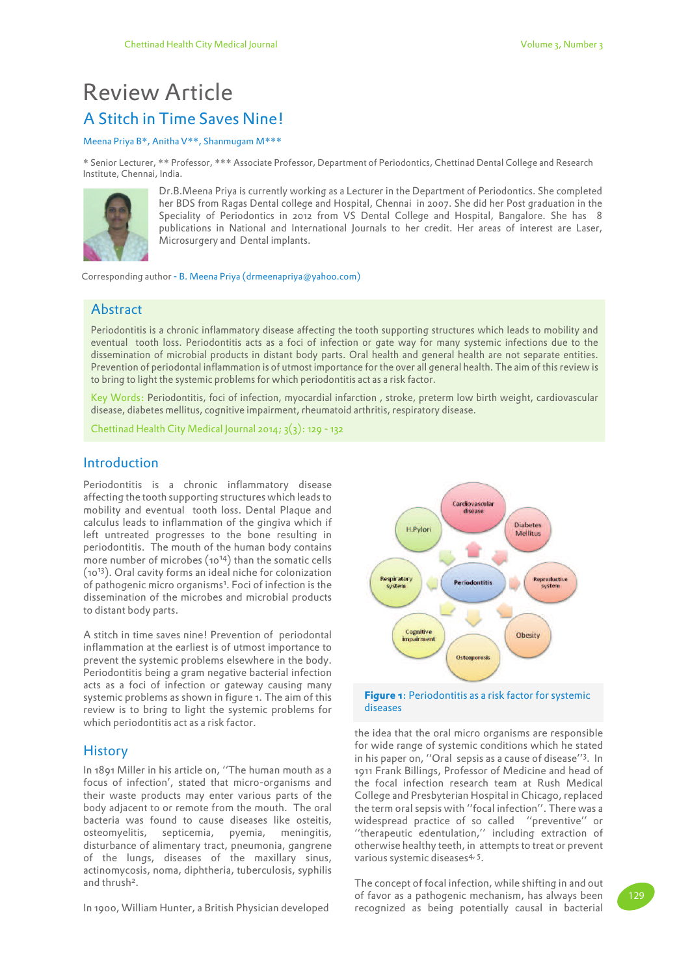# A Stitch in Time Saves Nine! Review Article

#### Meena Priya B\*, Anitha V\*\*, Shanmugam M\*\*\*

\* Senior Lecturer, \*\* Professor, \*\*\* Associate Professor, Department of Periodontics, Chettinad Dental College and Research Institute, Chennai, India.



Dr.B.Meena Priya is currently working as a Lecturer in the Department of Periodontics. She completed her BDS from Ragas Dental college and Hospital, Chennai in 2007. She did her Post graduation in the Speciality of Periodontics in 2012 from VS Dental College and Hospital, Bangalore. She has 8 publications in National and International Journals to her credit. Her areas of interest are Laser, Microsurgery and Dental implants.

Corresponding author - B. Meena Priya (drmeenapriya@yahoo.com)

## Abstract

Periodontitis is a chronic inflammatory disease affecting the tooth supporting structures which leads to mobility and eventual tooth loss. Periodontitis acts as a foci of infection or gate way for many systemic infections due to the dissemination of microbial products in distant body parts. Oral health and general health are not separate entities. Prevention of periodontal inflammation is of utmost importance for the over all general health. The aim of this review is to bring to light the systemic problems for which periodontitis act as a risk factor.

Key Words: Periodontitis, foci of infection, myocardial infarction , stroke, preterm low birth weight, cardiovascular disease, diabetes mellitus, cognitive impairment, rheumatoid arthritis, respiratory disease.

Chettinad Health City Medical Journal 2014;  $3(3)$ : 129 - 132

## Introduction

Periodontitis is a chronic inflammatory disease affecting the tooth supporting structures which leads to mobility and eventual tooth loss. Dental Plaque and calculus leads to inflammation of the gingiva which if left untreated progresses to the bone resulting in periodontitis. The mouth of the human body contains more number of microbes (1014) than the somatic cells (1013). Oral cavity forms an ideal niche for colonization of pathogenic micro organisms<sup>1</sup>. Foci of infection is the dissemination of the microbes and microbial products to distant body parts.

A stitch in time saves nine! Prevention of periodontal inflammation at the earliest is of utmost importance to prevent the systemic problems elsewhere in the body. Periodontitis being a gram negative bacterial infection acts as a foci of infection or gateway causing many systemic problems as shown in figure 1. The aim of this review is to bring to light the systemic problems for which periodontitis act as a risk factor.

## **History**

In 1891 Miller in his article on, ''The human mouth as a focus of infection', stated that micro-organisms and their waste products may enter various parts of the body adjacent to or remote from the mouth. The oral bacteria was found to cause diseases like osteitis, osteomyelitis, septicemia, pyemia, meningitis, disturbance of alimentary tract, pneumonia, gangrene of the lungs, diseases of the maxillary sinus, actinomycosis, noma, diphtheria, tuberculosis, syphilis and thrush<sup>2</sup>.

In 1900, William Hunter, a British Physician developed





the idea that the oral micro organisms are responsible for wide range of systemic conditions which he stated in his paper on, ''Oral sepsis as a cause of disease''<sup>3</sup> . In 1911 Frank Billings, Professor of Medicine and head of the focal infection research team at Rush Medical College and Presbyterian Hospital in Chicago, replaced the term oral sepsis with ''focal infection''. There was a widespread practice of so called ''preventive'' or ''therapeutic edentulation,'' including extraction of otherwise healthy teeth, in attempts to treat or prevent various systemic diseases<sup>4, 5</sup>.

The concept of focal infection, while shifting in and out of favor as a pathogenic mechanism, has always been recognized as being potentially causal in bacterial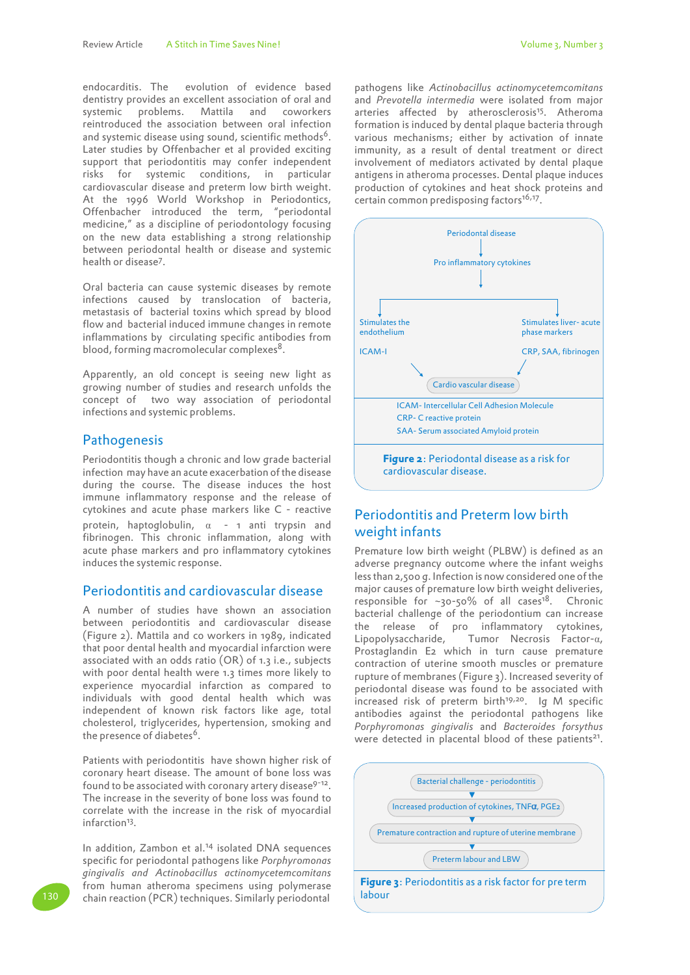endocarditis. The evolution of evidence based dentistry provides an excellent association of oral and systemic problems. Mattila and coworkers reintroduced the association between oral infection and systemic disease using sound, scientific methods<sup>6</sup>. Later studies by Offenbacher et al provided exciting support that periodontitis may confer independent risks for systemic conditions, in particular cardiovascular disease and preterm low birth weight. At the 1996 World Workshop in Periodontics, Offenbacher introduced the term, "periodontal medicine," as a discipline of periodontology focusing on the new data establishing a strong relationship between periodontal health or disease and systemic health or disease<sup>7</sup> .

Oral bacteria can cause systemic diseases by remote infections caused by translocation of bacteria, metastasis of bacterial toxins which spread by blood flow and bacterial induced immune changes in remote inflammations by circulating specific antibodies from blood, forming macromolecular complexes<sup>8</sup>.

Apparently, an old concept is seeing new light as growing number of studies and research unfolds the concept of two way association of periodontal infections and systemic problems.

## **Pathogenesis**

Periodontitis though a chronic and low grade bacterial infection may have an acute exacerbation of the disease during the course. The disease induces the host immune inflammatory response and the release of cytokines and acute phase markers like C - reactive protein, haptoglobulin,  $\alpha$  - 1 anti trypsin and fibrinogen. This chronic inflammation, along with acute phase markers and pro inflammatory cytokines induces the systemic response.

## Periodontitis and cardiovascular disease

A number of studies have shown an association between periodontitis and cardiovascular disease (Figure 2). Mattila and co workers in 1989, indicated that poor dental health and myocardial infarction were associated with an odds ratio (OR) of 1.3 i.e., subjects with poor dental health were 1.3 times more likely to experience myocardial infarction as compared to individuals with good dental health which was independent of known risk factors like age, total cholesterol, triglycerides, hypertension, smoking and the presence of diabetes<sup>6</sup>.

Patients with periodontitis have shown higher risk of coronary heart disease. The amount of bone loss was found to be associated with coronary artery disease<sup>9-12</sup>. The increase in the severity of bone loss was found to correlate with the increase in the risk of myocardial infarction<sup>13</sup>.

In addition, Zambon et al.14 isolated DNA sequences specific for periodontal pathogens like *Porphyromonas gingivalis and Actinobacillus actinomycetemcomitans*  from human atheroma specimens using polymerase chain reaction (PCR) techniques. Similarly periodontal

pathogens like *Actinobacillus actinomycetemcomitans*  and *Prevotella intermedia* were isolated from major arteries affected by atherosclerosis<sup>15</sup>. Atheroma formation is induced by dental plaque bacteria through various mechanisms; either by activation of innate immunity, as a result of dental treatment or direct involvement of mediators activated by dental plaque antigens in atheroma processes. Dental plaque induces production of cytokines and heat shock proteins and certain common predisposing factors<sup>16,17</sup>.



## Periodontitis and Preterm low birth weight infants

Premature low birth weight (PLBW) is defined as an adverse pregnancy outcome where the infant weighs less than 2,500 g. Infection is now considered one of the major causes of premature low birth weight deliveries, responsible for  $\sim$ 30-50% of all cases<sup>18</sup>. Chronic bacterial challenge of the periodontium can increase the release of pro inflammatory cytokines, Lipopolysaccharide, Tumor Necrosis Factor- $\alpha$ , Prostaglandin E2 which in turn cause premature contraction of uterine smooth muscles or premature rupture of membranes (Figure 3). Increased severity of periodontal disease was found to be associated with increased risk of preterm birth<sup>19,20</sup>. Ig M specific antibodies against the periodontal pathogens like *Porphyromonas gingivalis* and *Bacteroides forsythus*  were detected in placental blood of these patients<sup>21</sup>.

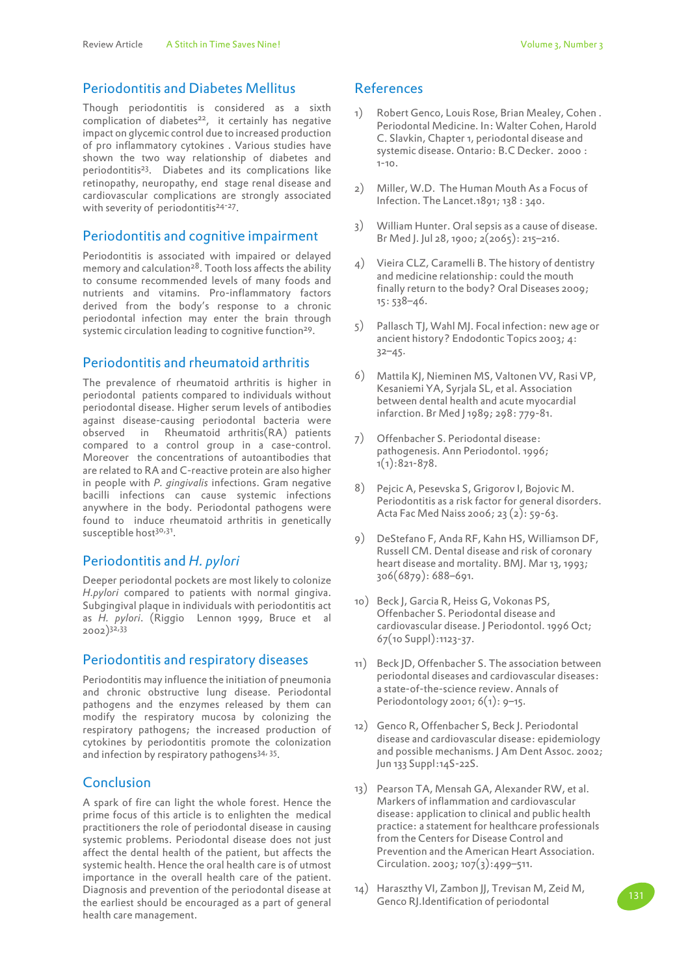## Periodontitis and Diabetes Mellitus

Though periodontitis is considered as a sixth complication of diabetes<sup>22</sup>, it certainly has negative impact on glycemic control due to increased production of pro inflammatory cytokines . Various studies have shown the two way relationship of diabetes and periodontitis<sup>23</sup>. Diabetes and its complications like retinopathy, neuropathy, end stage renal disease and cardiovascular complications are strongly associated with severity of periodontitis<sup>24-27</sup>.

## Periodontitis and cognitive impairment

Periodontitis is associated with impaired or delayed memory and calculation<sup>28</sup>. Tooth loss affects the ability to consume recommended levels of many foods and nutrients and vitamins. Pro-inflammatory factors derived from the body's response to a chronic periodontal infection may enter the brain through systemic circulation leading to cognitive function<sup>29</sup>.

## Periodontitis and rheumatoid arthritis

The prevalence of rheumatoid arthritis is higher in periodontal patients compared to individuals without periodontal disease. Higher serum levels of antibodies against disease-causing periodontal bacteria were observed in Rheumatoid arthritis(RA) patients compared to a control group in a case-control. Moreover the concentrations of autoantibodies that are related to RA and C-reactive protein are also higher in people with *P. gingivalis* infections. Gram negative bacilli infections can cause systemic infections anywhere in the body. Periodontal pathogens were found to induce rheumatoid arthritis in genetically susceptible host<sup>30,31</sup>.

#### Periodontitis and *H. pylori*

Deeper periodontal pockets are most likely to colonize *H.pylori* compared to patients with normal gingiva. Subgingival plaque in individuals with periodontitis act as *H. pylori*. (Riggio Lennon 1999, Bruce et al 2002)32,33

#### Periodontitis and respiratory diseases

Periodontitis may influence the initiation of pneumonia and chronic obstructive lung disease. Periodontal pathogens and the enzymes released by them can modify the respiratory mucosa by colonizing the respiratory pathogens; the increased production of cytokines by periodontitis promote the colonization and infection by respiratory pathogens<sup>34, 35</sup>.

#### Conclusion

A spark of fire can light the whole forest. Hence the prime focus of this article is to enlighten the medical practitioners the role of periodontal disease in causing systemic problems. Periodontal disease does not just affect the dental health of the patient, but affects the systemic health. Hence the oral health care is of utmost importance in the overall health care of the patient. Diagnosis and prevention of the periodontal disease at the earliest should be encouraged as a part of general health care management.

## References

- 1) Robert Genco, Louis Rose, Brian Mealey, Cohen . Periodontal Medicine. In: Walter Cohen, Harold C. Slavkin, Chapter 1, periodontal disease and systemic disease. Ontario: B.C Decker. 2000 :  $1 - 10$ .
- $2)$ Miller, W.D. The Human Mouth As a Focus of Infection. The Lancet.1891; 138 : 340.
- 3) William Hunter. Oral sepsis as a cause of disease. Br Med J. Jul 28, 1900; 2(2065): 215–216.
- 4) Vieira CLZ, Caramelli B. The history of dentistry and medicine relationship: could the mouth finally return to the body? Oral Diseases 2009; 15: 538–46.
- $5)$ Pallasch TJ, Wahl MJ. Focal infection: new age or ancient history? Endodontic Topics 2003; 4: 32–45.
- 6) Mattila KJ, Nieminen MS, Valtonen VV, Rasi VP, Kesaniemi YA, Syrjala SL, et al. Association between dental health and acute myocardial infarction. Br Med J 1989; 298: 779-81.
- 7) Offenbacher S. Periodontal disease: pathogenesis. Ann Periodontol. 1996; 1(1):821-878.
- 8) Pejcic A, Pesevska S, Grigorov I, Bojovic M. Periodontitis as a risk factor for general disorders. Acta Fac Med Naiss 2006; 23 (2): 59-63.
- 9) DeStefano F, Anda RF, Kahn HS, Williamson DF, Russell CM. Dental disease and risk of coronary heart disease and mortality. BMJ. Mar 13, 1993; 306(6879): 688–691.
- 10) Beck J, Garcia R, Heiss G, Vokonas PS, Offenbacher S. Periodontal disease and cardiovascular disease. J Periodontol. 1996 Oct; 67(10 Suppl):1123-37.
- 11) Beck JD, Offenbacher S. The association between periodontal diseases and cardiovascular diseases: a state-of-the-science review. Annals of Periodontology 2001;  $6(1)$ : 9-15.
- 12) Genco R, Offenbacher S, Beck J. Periodontal disease and cardiovascular disease: epidemiology and possible mechanisms. J Am Dent Assoc. 2002; Jun 133 Suppl:14S-22S.
- 13) Pearson TA, Mensah GA, Alexander RW, et al. Markers of inflammation and cardiovascular disease: application to clinical and public health practice: a statement for healthcare professionals from the Centers for Disease Control and Prevention and the American Heart Association. Circulation. 2003; 107 $(3):499 - 511$ .
- 14) Haraszthy VI, Zambon JJ, Trevisan M, Zeid M, Harasztriy VI, Zambon JJ, Trevisan M, Zeld M, 131